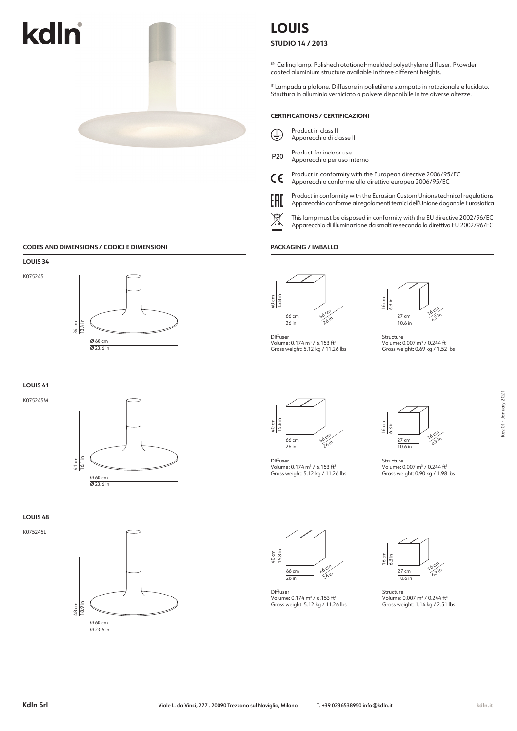

### **CODES AND DIMENSIONS / CODICI E DIMENSIONI**



**LOUIS 41**

K075245M



**LOUIS 48**

K075245L



# **LOUIS**

**STUDIO 14 / 2013**

EN. Ceiling lamp. Polished rotational-moulded polyethylene diffuser. P\owder coated aluminium structure available in three different heights.

IT. Lampada a plafone. Diffusore in polietilene stampato in rotazionale e lucidato. Struttura in alluminio verniciato a polvere disponibile in tre diverse altezze.

#### **CERTIFICATIONS / CERTIFICAZIONI**

| $\bigoplus$ | Product in class II      |
|-------------|--------------------------|
|             | Apparecchio di classe II |

- Product for indoor use
- **IP20** Apparecchio per uso interno
- Product in conformity with the European directive 2006/95/EC  $\epsilon$ Apparecchio conforme alla direttiva europea 2006/95/EC
- EAD

Product in conformity with the Eurasian Custom Unions technical regulations Apparecchio conforme ai regolamenti tecnici dell'Unione doganale Eurasiatica

This lamp must be disposed in conformity with the EU directive 2002/96/EC Apparecchio di illuminazione da smaltire secondo la direttiva EU 2002/96/EC

#### **PACKAGING / IMBALLO**



Diffuser Volume: 0.174 m<sup>3</sup> / 6.153 ft<sup>3</sup><br>Gross weight: 5.12 kg / 11.26 lbs



Structure Volume: 0.007 m<sup>3</sup> / 0.244 ft<sup>3</sup><br>Gross weight: 0.69 kg / 1.52 lbs



Diffuser Volume: 0.174 m<sup>3</sup> / 6.153 ft<sup>3</sup> Gross weight: 5.12 kg / 11.26 lbs

40 cm 15.8 in



Structure Volume: 0.007 m3 / 0.244 ft3 Gross weight: 0.90 kg / 1.98 lbs



Diffuser Volume: 0.174 m<sup>3</sup> / 6.153 ft<sup>3</sup> Gross weight: 5.12 kg / 11.26 lbs



Structure Volume: 0.007 m3 / 0.244 ft3 Gross weight: 1.14 kg / 2.51 lbs